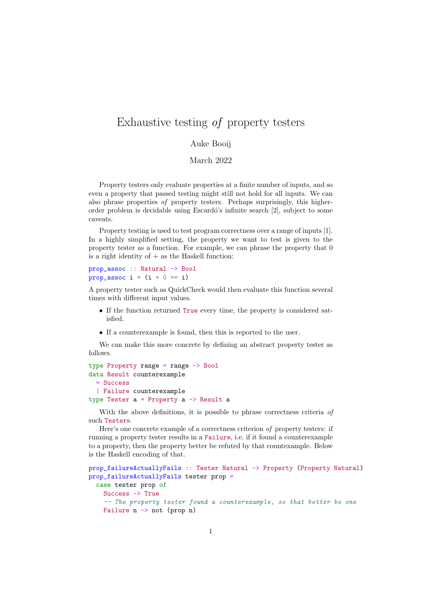## Exhaustive testing of property testers

## Auke Booij

March 2022

Property testers only evaluate properties at a finite number of inputs, and so even a property that passed testing might still not hold for all inputs. We can also phrase properties of property testers. Perhaps surprisingly, this higherorder problem is decidable using Escard´o's infinite search [2], subject to some caveats.

Property testing is used to test program correctness over a range of inputs [1]. In a highly simplified setting, the property we want to test is given to the property tester as a function. For example, we can phrase the property that 0 is a right identity of  $+$  as the Haskell function:

```
prop_assoc :: Natural -> Bool
prop_assoc i = (i + 0 == i)
```
A property tester such as QuickCheck would then evaluate this function several times with different input values.

- If the function returned True every time, the property is considered satisfied.
- If a counterexample is found, then this is reported to the user.

We can make this more concrete by defining an abstract property tester as follows.

```
type Property range = range -> Bool
data Result counterexample
  = Success
  | Failure counterexample
type Tester a = Property a \rightarrow Result a
```
With the above definitions, it is possible to phrase correctness criteria of such Testers.

Here's one concrete example of a correctness criterion of property testers: if running a property tester results in a Failure, i.e. if it found a counterexample to a property, then the property better be refuted by that countexample. Below is the Haskell encoding of that.

```
prop_failureActuallyFails :: Tester Natural -> Property (Property Natural)
prop_failureActuallyFails tester prop =
  case tester prop of
    Success -> True
    -- The property tester found a counterexample, so that better be one
    Failure n \rightarrow not (prop n)
```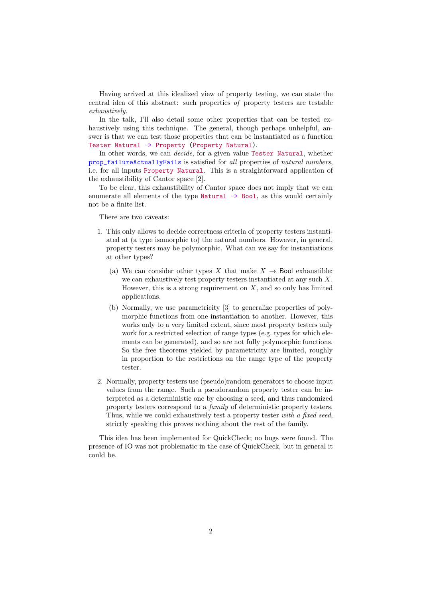Having arrived at this idealized view of property testing, we can state the central idea of this abstract: such properties of property testers are testable exhaustively.

In the talk, I'll also detail some other properties that can be tested exhaustively using this technique. The general, though perhaps unhelpful, answer is that we can test those properties that can be instantiated as a function Tester Natural -> Property (Property Natural).

In other words, we can decide, for a given value Tester Natural, whether prop\_failureActuallyFails is satisfied for all properties of natural numbers, i.e. for all inputs Property Natural. This is a straightforward application of the exhaustibility of Cantor space [2].

To be clear, this exhaustibility of Cantor space does not imply that we can enumerate all elements of the type Natural  $\rightarrow$  Bool, as this would certainly not be a finite list.

There are two caveats:

- 1. This only allows to decide correctness criteria of property testers instantiated at (a type isomorphic to) the natural numbers. However, in general, property testers may be polymorphic. What can we say for instantiations at other types?
	- (a) We can consider other types X that make  $X \rightarrow$  Bool exhaustible: we can exhaustively test property testers instantiated at any such X. However, this is a strong requirement on  $X$ , and so only has limited applications.
	- (b) Normally, we use parametricity [3] to generalize properties of polymorphic functions from one instantiation to another. However, this works only to a very limited extent, since most property testers only work for a restricted selection of range types (e.g. types for which elements can be generated), and so are not fully polymorphic functions. So the free theorems yielded by parametricity are limited, roughly in proportion to the restrictions on the range type of the property tester.
- 2. Normally, property testers use (pseudo)random generators to choose input values from the range. Such a pseudorandom property tester can be interpreted as a deterministic one by choosing a seed, and thus randomized property testers correspond to a family of deterministic property testers. Thus, while we could exhaustively test a property tester with a fixed seed, strictly speaking this proves nothing about the rest of the family.

This idea has been implemented for QuickCheck; no bugs were found. The presence of IO was not problematic in the case of QuickCheck, but in general it could be.